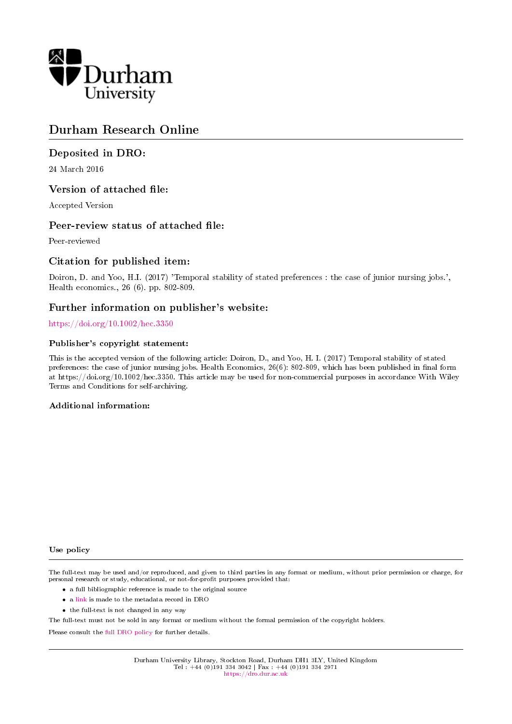

## Durham Research Online

#### Deposited in DRO:

24 March 2016

#### Version of attached file:

Accepted Version

#### Peer-review status of attached file:

Peer-reviewed

#### Citation for published item:

Doiron, D. and Yoo, H.I. (2017) 'Temporal stability of stated preferences : the case of junior nursing jobs.', Health economics., 26 (6). pp. 802-809.

#### Further information on publisher's website:

#### <https://doi.org/10.1002/hec.3350>

#### Publisher's copyright statement:

This is the accepted version of the following article: Doiron, D., and Yoo, H. I. (2017) Temporal stability of stated preferences: the case of junior nursing jobs. Health Economics, 26(6): 802-809, which has been published in final form at https://doi.org/10.1002/hec.3350. This article may be used for non-commercial purposes in accordance With Wiley Terms and Conditions for self-archiving.

#### Additional information:

#### Use policy

The full-text may be used and/or reproduced, and given to third parties in any format or medium, without prior permission or charge, for personal research or study, educational, or not-for-profit purposes provided that:

- a full bibliographic reference is made to the original source
- a [link](http://dro.dur.ac.uk/18049/) is made to the metadata record in DRO
- the full-text is not changed in any way

The full-text must not be sold in any format or medium without the formal permission of the copyright holders.

Please consult the [full DRO policy](https://dro.dur.ac.uk/policies/usepolicy.pdf) for further details.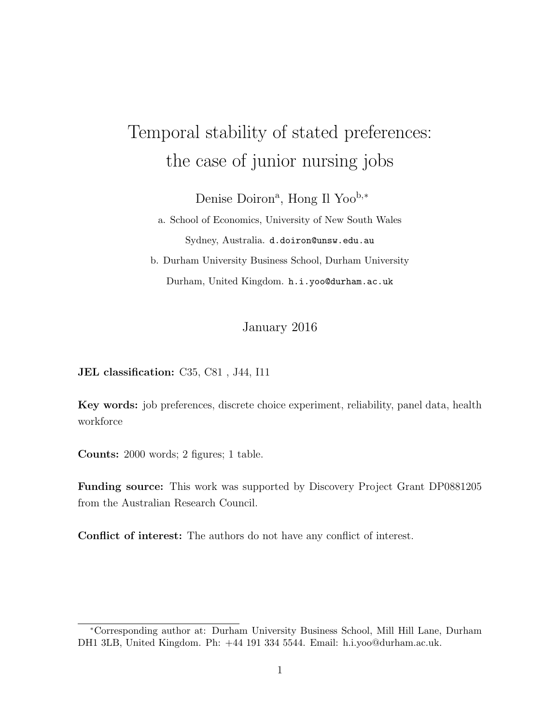## Temporal stability of stated preferences: the case of junior nursing jobs

Denise Doiron<sup>a</sup>, Hong Il Yoo<sup>b,∗</sup>

a. School of Economics, University of New South Wales Sydney, Australia. d.doiron@unsw.edu.au

b. Durham University Business School, Durham University Durham, United Kingdom. h.i.yoo@durham.ac.uk

#### January 2016

JEL classification: C35, C81 , J44, I11

Key words: job preferences, discrete choice experiment, reliability, panel data, health workforce

Counts: 2000 words; 2 figures; 1 table.

Funding source: This work was supported by Discovery Project Grant DP0881205 from the Australian Research Council.

Conflict of interest: The authors do not have any conflict of interest.

<sup>∗</sup>Corresponding author at: Durham University Business School, Mill Hill Lane, Durham DH1 3LB, United Kingdom. Ph: +44 191 334 5544. Email: h.i.yoo@durham.ac.uk.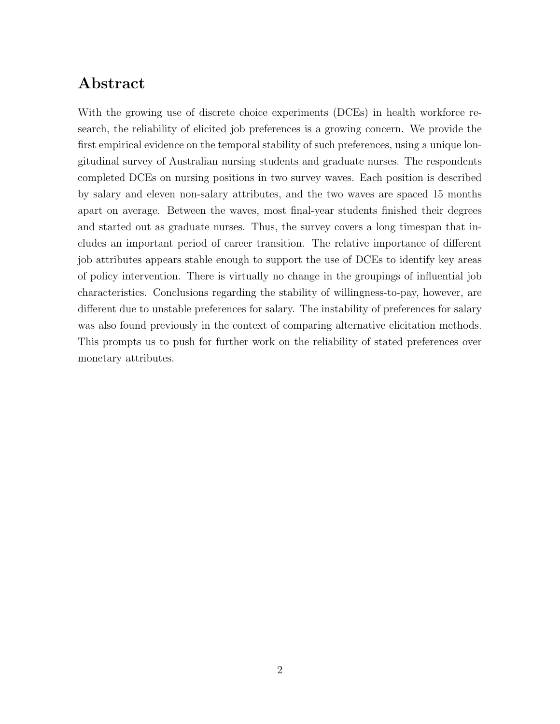## Abstract

With the growing use of discrete choice experiments (DCEs) in health workforce research, the reliability of elicited job preferences is a growing concern. We provide the first empirical evidence on the temporal stability of such preferences, using a unique longitudinal survey of Australian nursing students and graduate nurses. The respondents completed DCEs on nursing positions in two survey waves. Each position is described by salary and eleven non-salary attributes, and the two waves are spaced 15 months apart on average. Between the waves, most final-year students finished their degrees and started out as graduate nurses. Thus, the survey covers a long timespan that includes an important period of career transition. The relative importance of different job attributes appears stable enough to support the use of DCEs to identify key areas of policy intervention. There is virtually no change in the groupings of influential job characteristics. Conclusions regarding the stability of willingness-to-pay, however, are different due to unstable preferences for salary. The instability of preferences for salary was also found previously in the context of comparing alternative elicitation methods. This prompts us to push for further work on the reliability of stated preferences over monetary attributes.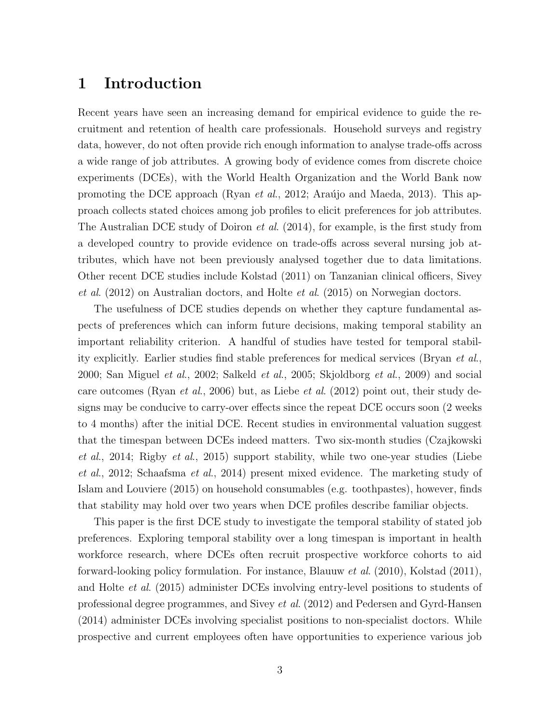### 1 Introduction

Recent years have seen an increasing demand for empirical evidence to guide the recruitment and retention of health care professionals. Household surveys and registry data, however, do not often provide rich enough information to analyse trade-offs across a wide range of job attributes. A growing body of evidence comes from discrete choice experiments (DCEs), with the World Health Organization and the World Bank now promoting the DCE approach (Ryan *et al.*, 2012; Araújo and Maeda, 2013). This approach collects stated choices among job profiles to elicit preferences for job attributes. The Australian DCE study of Doiron *et al.*  $(2014)$ , for example, is the first study from a developed country to provide evidence on trade-offs across several nursing job attributes, which have not been previously analysed together due to data limitations. Other recent DCE studies include Kolstad (2011) on Tanzanian clinical officers, Sivey et al. (2012) on Australian doctors, and Holte et al. (2015) on Norwegian doctors.

The usefulness of DCE studies depends on whether they capture fundamental aspects of preferences which can inform future decisions, making temporal stability an important reliability criterion. A handful of studies have tested for temporal stability explicitly. Earlier studies find stable preferences for medical services (Bryan et al., 2000; San Miguel et al., 2002; Salkeld et al., 2005; Skjoldborg et al., 2009) and social care outcomes (Ryan et al., 2006) but, as Liebe et al. (2012) point out, their study designs may be conducive to carry-over effects since the repeat DCE occurs soon (2 weeks to 4 months) after the initial DCE. Recent studies in environmental valuation suggest that the timespan between DCEs indeed matters. Two six-month studies (Czajkowski et al., 2014; Rigby et al., 2015) support stability, while two one-year studies (Liebe et al., 2012; Schaafsma et al., 2014) present mixed evidence. The marketing study of Islam and Louviere (2015) on household consumables (e.g. toothpastes), however, finds that stability may hold over two years when DCE profiles describe familiar objects.

This paper is the first DCE study to investigate the temporal stability of stated job preferences. Exploring temporal stability over a long timespan is important in health workforce research, where DCEs often recruit prospective workforce cohorts to aid forward-looking policy formulation. For instance, Blauuw et al. (2010), Kolstad (2011), and Holte et al. (2015) administer DCEs involving entry-level positions to students of professional degree programmes, and Sivey et al. (2012) and Pedersen and Gyrd-Hansen (2014) administer DCEs involving specialist positions to non-specialist doctors. While prospective and current employees often have opportunities to experience various job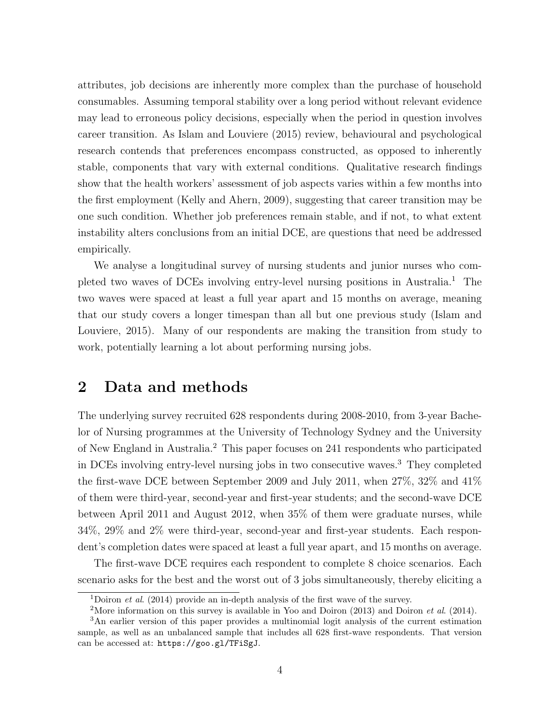attributes, job decisions are inherently more complex than the purchase of household consumables. Assuming temporal stability over a long period without relevant evidence may lead to erroneous policy decisions, especially when the period in question involves career transition. As Islam and Louviere (2015) review, behavioural and psychological research contends that preferences encompass constructed, as opposed to inherently stable, components that vary with external conditions. Qualitative research findings show that the health workers' assessment of job aspects varies within a few months into the first employment (Kelly and Ahern, 2009), suggesting that career transition may be one such condition. Whether job preferences remain stable, and if not, to what extent instability alters conclusions from an initial DCE, are questions that need be addressed empirically.

We analyse a longitudinal survey of nursing students and junior nurses who completed two waves of DCEs involving entry-level nursing positions in Australia.<sup>1</sup> The two waves were spaced at least a full year apart and 15 months on average, meaning that our study covers a longer timespan than all but one previous study (Islam and Louviere, 2015). Many of our respondents are making the transition from study to work, potentially learning a lot about performing nursing jobs.

#### 2 Data and methods

The underlying survey recruited 628 respondents during 2008-2010, from 3-year Bachelor of Nursing programmes at the University of Technology Sydney and the University of New England in Australia.<sup>2</sup> This paper focuses on 241 respondents who participated in DCEs involving entry-level nursing jobs in two consecutive waves.<sup>3</sup> They completed the first-wave DCE between September 2009 and July 2011, when 27%, 32% and 41% of them were third-year, second-year and first-year students; and the second-wave DCE between April 2011 and August 2012, when 35% of them were graduate nurses, while 34%, 29% and 2% were third-year, second-year and first-year students. Each respondent's completion dates were spaced at least a full year apart, and 15 months on average.

The first-wave DCE requires each respondent to complete 8 choice scenarios. Each scenario asks for the best and the worst out of 3 jobs simultaneously, thereby eliciting a

<sup>&</sup>lt;sup>1</sup>Doiron *et al.* (2014) provide an in-depth analysis of the first wave of the survey.

<sup>&</sup>lt;sup>2</sup>More information on this survey is available in Yoo and Doiron (2013) and Doiron *et al.* (2014).

<sup>3</sup>An earlier version of this paper provides a multinomial logit analysis of the current estimation sample, as well as an unbalanced sample that includes all 628 first-wave respondents. That version can be accessed at: https://goo.gl/TFiSgJ.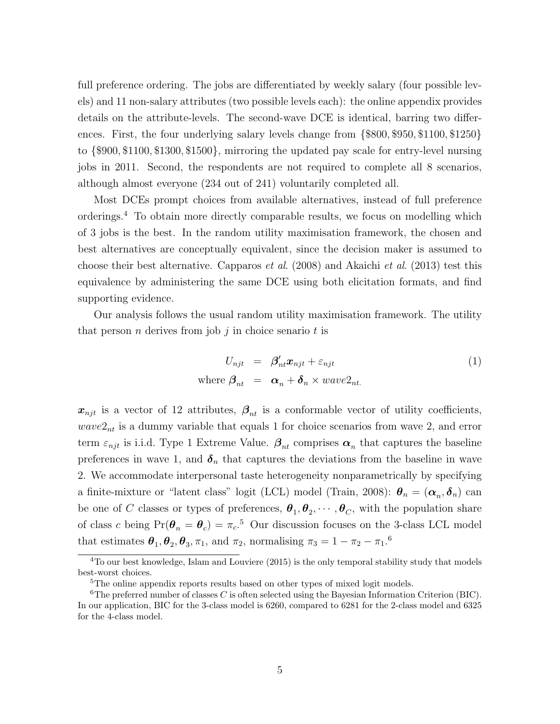full preference ordering. The jobs are differentiated by weekly salary (four possible levels) and 11 non-salary attributes (two possible levels each): the online appendix provides details on the attribute-levels. The second-wave DCE is identical, barring two differences. First, the four underlying salary levels change from {\$800, \$950, \$1100, \$1250} to {\$900, \$1100, \$1300, \$1500}, mirroring the updated pay scale for entry-level nursing jobs in 2011. Second, the respondents are not required to complete all 8 scenarios, although almost everyone (234 out of 241) voluntarily completed all.

Most DCEs prompt choices from available alternatives, instead of full preference orderings.<sup>4</sup> To obtain more directly comparable results, we focus on modelling which of 3 jobs is the best. In the random utility maximisation framework, the chosen and best alternatives are conceptually equivalent, since the decision maker is assumed to choose their best alternative. Capparos *et al.* (2008) and Akaichi *et al.* (2013) test this equivalence by administering the same DCE using both elicitation formats, and find supporting evidence.

Our analysis follows the usual random utility maximisation framework. The utility that person *n* derives from job  $j$  in choice senario  $t$  is

$$
U_{njt} = \beta'_{nt} \mathbf{x}_{njt} + \varepsilon_{njt}
$$
  
where  $\beta_{nt} = \alpha_n + \delta_n \times wave2_{nt}$ . (1)

 $x_{njt}$  is a vector of 12 attributes,  $\beta_{nt}$  is a conformable vector of utility coefficients,  $wave2<sub>nt</sub>$  is a dummy variable that equals 1 for choice scenarios from wave 2, and error term  $\varepsilon_{njt}$  is i.i.d. Type 1 Extreme Value.  $\beta_{nt}$  comprises  $\alpha_n$  that captures the baseline preferences in wave 1, and  $\delta_n$  that captures the deviations from the baseline in wave 2. We accommodate interpersonal taste heterogeneity nonparametrically by specifying a finite-mixture or "latent class" logit (LCL) model (Train, 2008):  $\theta_n = (\alpha_n, \delta_n)$  can be one of C classes or types of preferences,  $\theta_1, \theta_2, \cdots, \theta_C$ , with the population share of class c being  $Pr(\theta_n = \theta_c) = \pi_c$ <sup>5</sup> Our discussion focuses on the 3-class LCL model that estimates  $\theta_1, \theta_2, \theta_3, \pi_1$ , and  $\pi_2$ , normalising  $\pi_3 = 1 - \pi_2 - \pi_1$ .<sup>6</sup>

<sup>&</sup>lt;sup>4</sup>To our best knowledge, Islam and Louviere (2015) is the only temporal stability study that models best-worst choices.

<sup>&</sup>lt;sup>5</sup>The online appendix reports results based on other types of mixed logit models.

<sup>&</sup>lt;sup>6</sup>The preferred number of classes  $C$  is often selected using the Bayesian Information Criterion (BIC). In our application, BIC for the 3-class model is 6260, compared to 6281 for the 2-class model and 6325 for the 4-class model.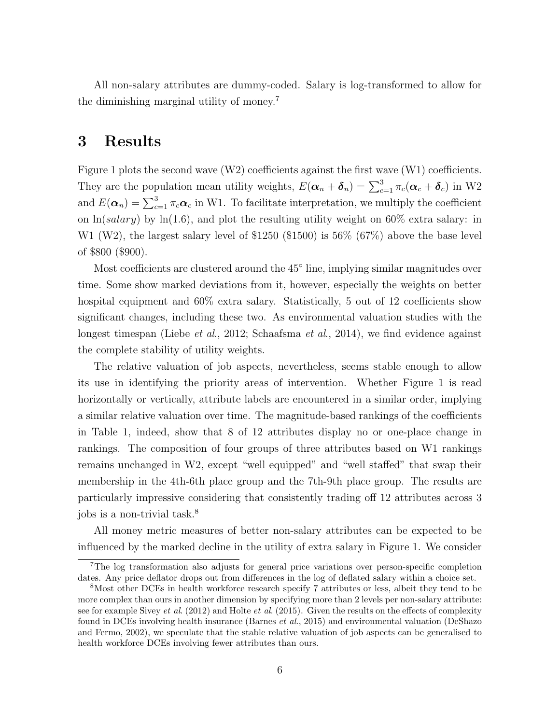All non-salary attributes are dummy-coded. Salary is log-transformed to allow for the diminishing marginal utility of money.<sup>7</sup>

### 3 Results

Figure 1 plots the second wave (W2) coefficients against the first wave (W1) coefficients. They are the population mean utility weights,  $E(\alpha_n + \delta_n) = \sum_{c=1}^3 \pi_c(\alpha_c + \delta_c)$  in W2 and  $E(\alpha_n) = \sum_{c=1}^3 \pi_c \alpha_c$  in W1. To facilitate interpretation, we multiply the coefficient on  $\ln(salary)$  by  $\ln(1.6)$ , and plot the resulting utility weight on 60% extra salary: in W1 (W2), the largest salary level of \$1250 (\$1500) is 56% (67%) above the base level of \$800 (\$900).

Most coefficients are clustered around the 45<sup>°</sup> line, implying similar magnitudes over time. Some show marked deviations from it, however, especially the weights on better hospital equipment and  $60\%$  extra salary. Statistically, 5 out of 12 coefficients show significant changes, including these two. As environmental valuation studies with the longest timespan (Liebe *et al.*, 2012; Schaafsma *et al.*, 2014), we find evidence against the complete stability of utility weights.

The relative valuation of job aspects, nevertheless, seems stable enough to allow its use in identifying the priority areas of intervention. Whether Figure 1 is read horizontally or vertically, attribute labels are encountered in a similar order, implying a similar relative valuation over time. The magnitude-based rankings of the coefficients in Table 1, indeed, show that 8 of 12 attributes display no or one-place change in rankings. The composition of four groups of three attributes based on W1 rankings remains unchanged in W2, except "well equipped" and "well staffed" that swap their membership in the 4th-6th place group and the 7th-9th place group. The results are particularly impressive considering that consistently trading off 12 attributes across 3 jobs is a non-trivial task.<sup>8</sup>

All money metric measures of better non-salary attributes can be expected to be influenced by the marked decline in the utility of extra salary in Figure 1. We consider

<sup>7</sup>The log transformation also adjusts for general price variations over person-specific completion dates. Any price deflator drops out from differences in the log of deflated salary within a choice set.

<sup>&</sup>lt;sup>8</sup>Most other DCEs in health workforce research specify 7 attributes or less, albeit they tend to be more complex than ours in another dimension by specifying more than 2 levels per non-salary attribute: see for example Sivey *et al.* (2012) and Holte *et al.* (2015). Given the results on the effects of complexity found in DCEs involving health insurance (Barnes et al., 2015) and environmental valuation (DeShazo and Fermo, 2002), we speculate that the stable relative valuation of job aspects can be generalised to health workforce DCEs involving fewer attributes than ours.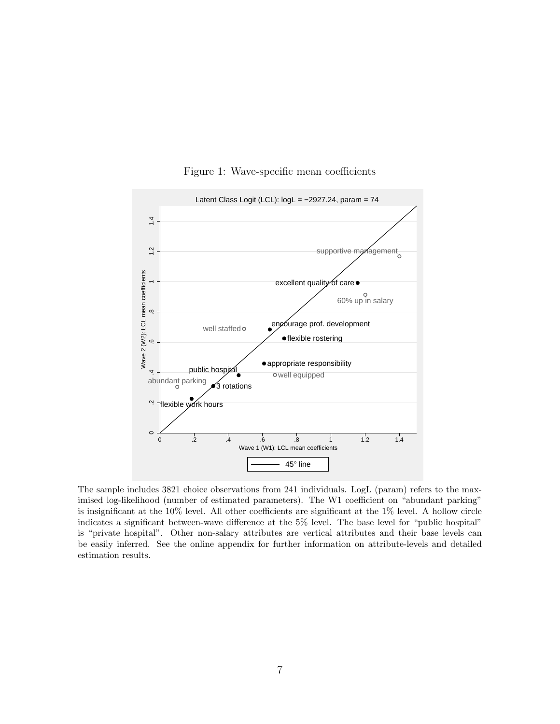

Figure 1: Wave-specific mean coefficients

The sample includes 3821 choice observations from 241 individuals. LogL (param) refers to the maximised log-likelihood (number of estimated parameters). The W1 coefficient on "abundant parking" is insignificant at the 10% level. All other coefficients are significant at the 1% level. A hollow circle indicates a significant between-wave difference at the 5% level. The base level for "public hospital" is "private hospital". Other non-salary attributes are vertical attributes and their base levels can be easily inferred. See the online appendix for further information on attribute-levels and detailed estimation results.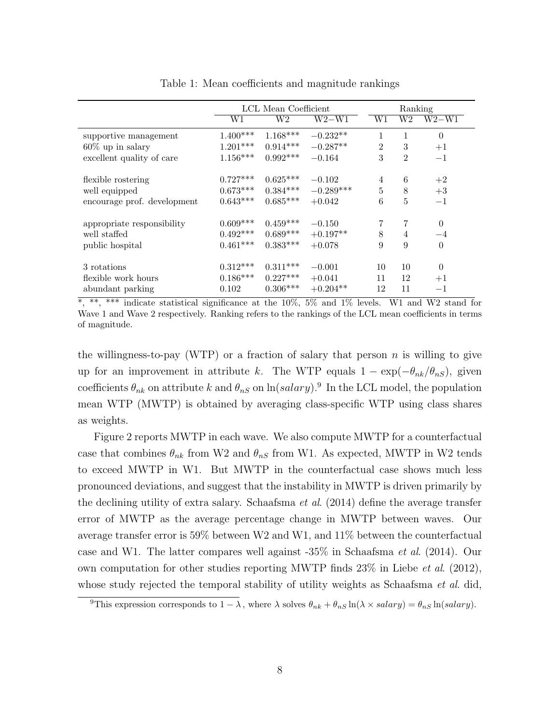|                             | LCL Mean Coefficient |            |             |                | Ranking        |          |  |
|-----------------------------|----------------------|------------|-------------|----------------|----------------|----------|--|
|                             | W1                   | W2         | $W2-W1$     | W1             | W2             | $W2-W1$  |  |
| supportive management       | $1.400***$           | $1.168***$ | $-0.232**$  | 1              | 1              | $\theta$ |  |
| $60\%$ up in salary         | $1.201***$           | $0.914***$ | $-0.287**$  | $\overline{2}$ | 3              | $+1$     |  |
| excellent quality of care   | $1.156***$           | $0.992***$ | $-0.164$    | 3              | $\overline{2}$ | $-1$     |  |
| flexible rostering          | $0.727***$           | $0.625***$ | $-0.102$    | $\overline{4}$ | 6              | $+2$     |  |
| well equipped               | $0.673***$           | $0.384***$ | $-0.289***$ | 5              | 8              | $+3$     |  |
| encourage prof. development | $0.643***$           | $0.685***$ | $+0.042$    | 6              | 5              | $-1$     |  |
| appropriate responsibility  | $0.609***$           | $0.459***$ | $-0.150$    | 7              | 7              | $\Omega$ |  |
| well staffed                | $0.492***$           | $0.689***$ | $+0.197**$  | 8              | $\overline{4}$ | $-4$     |  |
| public hospital             | $0.461***$           | $0.383***$ | $+0.078$    | 9              | 9              | $\Omega$ |  |
| 3 rotations                 | $0.312***$           | $0.311***$ | $-0.001$    | 10             | 10             | $\theta$ |  |
| flexible work hours         | $0.186***$           | $0.227***$ | $+0.041$    | 11             | 12             | $+1$     |  |
| abundant parking            | 0.102                | $0.306***$ | $+0.204**$  | 12             | 11             | $-1$     |  |

Table 1: Mean coefficients and magnitude rankings

\*, \*\*, \*\*\* indicate statistical significance at the  $10\%$ , 5% and 1% levels. W1 and W2 stand for Wave 1 and Wave 2 respectively. Ranking refers to the rankings of the LCL mean coefficients in terms of magnitude.

the willingness-to-pay (WTP) or a fraction of salary that person  $n$  is willing to give up for an improvement in attribute k. The WTP equals  $1 - \exp(-\theta_{nk}/\theta_{nS})$ , given coefficients  $\theta_{nk}$  on attribute k and  $\theta_{nS}$  on  $\ln(salary)$ .<sup>9</sup> In the LCL model, the population mean WTP (MWTP) is obtained by averaging class-specific WTP using class shares as weights.

Figure 2 reports MWTP in each wave. We also compute MWTP for a counterfactual case that combines  $\theta_{nk}$  from W2 and  $\theta_{nS}$  from W1. As expected, MWTP in W2 tends to exceed MWTP in W1. But MWTP in the counterfactual case shows much less pronounced deviations, and suggest that the instability in MWTP is driven primarily by the declining utility of extra salary. Schaafsma *et al.*  $(2014)$  define the average transfer error of MWTP as the average percentage change in MWTP between waves. Our average transfer error is 59% between W2 and W1, and 11% between the counterfactual case and W1. The latter compares well against -35% in Schaafsma et al. (2014). Our own computation for other studies reporting MWTP finds  $23\%$  in Liebe *et al.* (2012), whose study rejected the temporal stability of utility weights as Schaafsma *et al.* did,

<sup>&</sup>lt;sup>9</sup>This expression corresponds to  $1 - \lambda$ , where  $\lambda$  solves  $\theta_{nk} + \theta_{nS} \ln(\lambda \times salary) = \theta_{nS} \ln(salary)$ .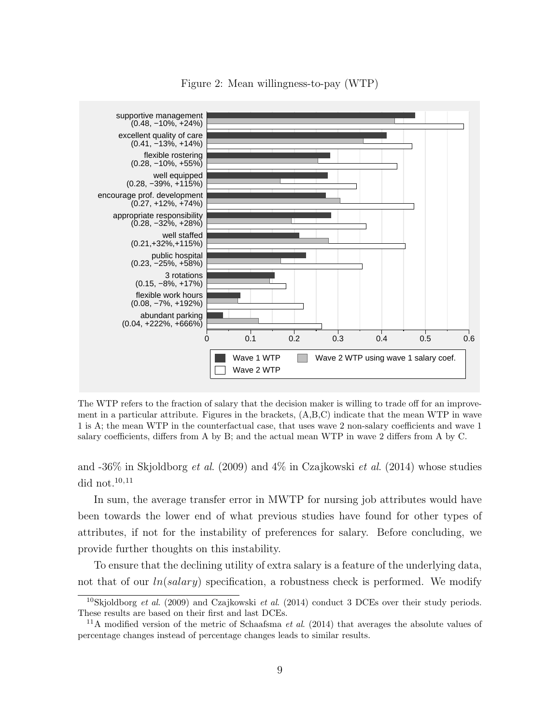

Figure 2: Mean willingness-to-pay (WTP)

The WTP refers to the fraction of salary that the decision maker is willing to trade off for an improvement in a particular attribute. Figures in the brackets, (A,B,C) indicate that the mean WTP in wave 1 is A; the mean WTP in the counterfactual case, that uses wave 2 non-salary coefficients and wave 1 salary coefficients, differs from A by B; and the actual mean WTP in wave 2 differs from A by C.

and  $-36\%$  in Skjoldborg *et al.* (2009) and  $4\%$  in Czajkowski *et al.* (2014) whose studies did not. $10,11$ 

In sum, the average transfer error in MWTP for nursing job attributes would have been towards the lower end of what previous studies have found for other types of attributes, if not for the instability of preferences for salary. Before concluding, we provide further thoughts on this instability.

To ensure that the declining utility of extra salary is a feature of the underlying data, not that of our  $ln(salary)$  specification, a robustness check is performed. We modify

<sup>&</sup>lt;sup>10</sup>Skjoldborg et al. (2009) and Czajkowski et al. (2014) conduct 3 DCEs over their study periods. These results are based on their first and last DCEs.

<sup>&</sup>lt;sup>11</sup>A modified version of the metric of Schaafsma *et al.* (2014) that averages the absolute values of percentage changes instead of percentage changes leads to similar results.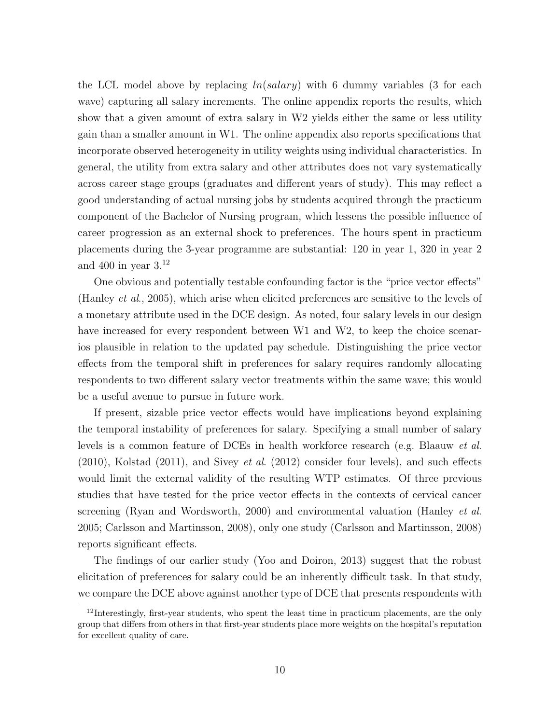the LCL model above by replacing  $ln(salary)$  with 6 dummy variables (3 for each wave) capturing all salary increments. The online appendix reports the results, which show that a given amount of extra salary in W2 yields either the same or less utility gain than a smaller amount in W1. The online appendix also reports specifications that incorporate observed heterogeneity in utility weights using individual characteristics. In general, the utility from extra salary and other attributes does not vary systematically across career stage groups (graduates and different years of study). This may reflect a good understanding of actual nursing jobs by students acquired through the practicum component of the Bachelor of Nursing program, which lessens the possible influence of career progression as an external shock to preferences. The hours spent in practicum placements during the 3-year programme are substantial: 120 in year 1, 320 in year 2 and 400 in year  $3^{12}$ 

One obvious and potentially testable confounding factor is the "price vector effects" (Hanley et al., 2005), which arise when elicited preferences are sensitive to the levels of a monetary attribute used in the DCE design. As noted, four salary levels in our design have increased for every respondent between W1 and W2, to keep the choice scenarios plausible in relation to the updated pay schedule. Distinguishing the price vector effects from the temporal shift in preferences for salary requires randomly allocating respondents to two different salary vector treatments within the same wave; this would be a useful avenue to pursue in future work.

If present, sizable price vector effects would have implications beyond explaining the temporal instability of preferences for salary. Specifying a small number of salary levels is a common feature of DCEs in health workforce research (e.g. Blaauw et al.  $(2010)$ , Kolstad  $(2011)$ , and Sivey *et al.*  $(2012)$  consider four levels), and such effects would limit the external validity of the resulting WTP estimates. Of three previous studies that have tested for the price vector effects in the contexts of cervical cancer screening (Ryan and Wordsworth, 2000) and environmental valuation (Hanley *et al.*) 2005; Carlsson and Martinsson, 2008), only one study (Carlsson and Martinsson, 2008) reports significant effects.

The findings of our earlier study (Yoo and Doiron, 2013) suggest that the robust elicitation of preferences for salary could be an inherently difficult task. In that study, we compare the DCE above against another type of DCE that presents respondents with

<sup>&</sup>lt;sup>12</sup>Interestingly, first-year students, who spent the least time in practicum placements, are the only group that differs from others in that first-year students place more weights on the hospital's reputation for excellent quality of care.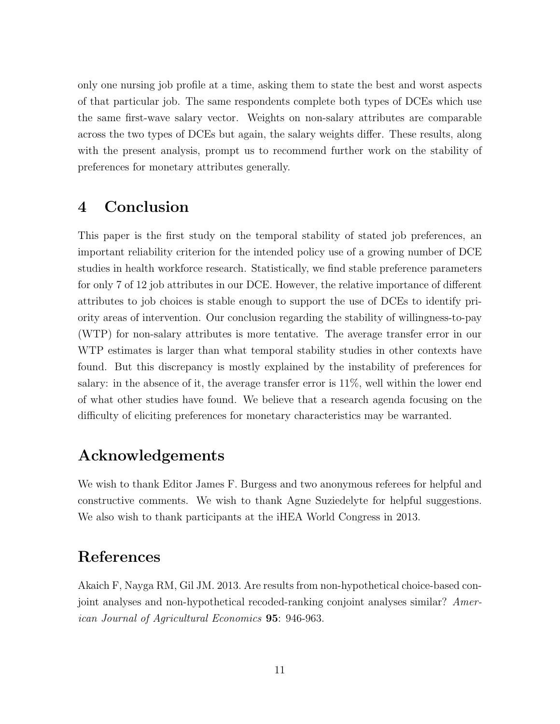only one nursing job profile at a time, asking them to state the best and worst aspects of that particular job. The same respondents complete both types of DCEs which use the same first-wave salary vector. Weights on non-salary attributes are comparable across the two types of DCEs but again, the salary weights differ. These results, along with the present analysis, prompt us to recommend further work on the stability of preferences for monetary attributes generally.

## 4 Conclusion

This paper is the first study on the temporal stability of stated job preferences, an important reliability criterion for the intended policy use of a growing number of DCE studies in health workforce research. Statistically, we find stable preference parameters for only 7 of 12 job attributes in our DCE. However, the relative importance of different attributes to job choices is stable enough to support the use of DCEs to identify priority areas of intervention. Our conclusion regarding the stability of willingness-to-pay (WTP) for non-salary attributes is more tentative. The average transfer error in our WTP estimates is larger than what temporal stability studies in other contexts have found. But this discrepancy is mostly explained by the instability of preferences for salary: in the absence of it, the average transfer error is 11%, well within the lower end of what other studies have found. We believe that a research agenda focusing on the difficulty of eliciting preferences for monetary characteristics may be warranted.

## Acknowledgements

We wish to thank Editor James F. Burgess and two anonymous referees for helpful and constructive comments. We wish to thank Agne Suziedelyte for helpful suggestions. We also wish to thank participants at the iHEA World Congress in 2013.

## References

Akaich F, Nayga RM, Gil JM. 2013. Are results from non-hypothetical choice-based conjoint analyses and non-hypothetical recoded-ranking conjoint analyses similar? American Journal of Agricultural Economics 95: 946-963.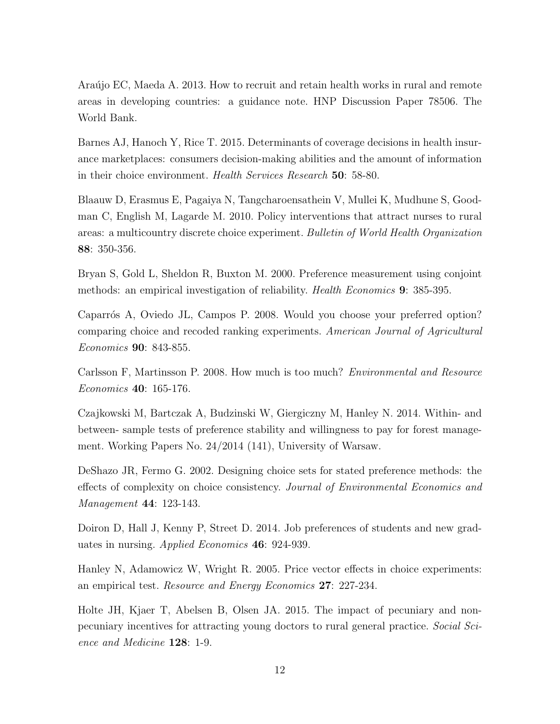Araújo EC, Maeda A. 2013. How to recruit and retain health works in rural and remote areas in developing countries: a guidance note. HNP Discussion Paper 78506. The World Bank.

Barnes AJ, Hanoch Y, Rice T. 2015. Determinants of coverage decisions in health insurance marketplaces: consumers decision-making abilities and the amount of information in their choice environment. Health Services Research 50: 58-80.

Blaauw D, Erasmus E, Pagaiya N, Tangcharoensathein V, Mullei K, Mudhune S, Goodman C, English M, Lagarde M. 2010. Policy interventions that attract nurses to rural areas: a multicountry discrete choice experiment. Bulletin of World Health Organization 88: 350-356.

Bryan S, Gold L, Sheldon R, Buxton M. 2000. Preference measurement using conjoint methods: an empirical investigation of reliability. Health Economics 9: 385-395.

Caparrós A, Oviedo JL, Campos P. 2008. Would you choose your preferred option? comparing choice and recoded ranking experiments. American Journal of Agricultural Economics 90: 843-855.

Carlsson F, Martinsson P. 2008. How much is too much? Environmental and Resource Economics 40: 165-176.

Czajkowski M, Bartczak A, Budzinski W, Giergiczny M, Hanley N. 2014. Within- and between- sample tests of preference stability and willingness to pay for forest management. Working Papers No. 24/2014 (141), University of Warsaw.

DeShazo JR, Fermo G. 2002. Designing choice sets for stated preference methods: the effects of complexity on choice consistency. Journal of Environmental Economics and Management 44: 123-143.

Doiron D, Hall J, Kenny P, Street D. 2014. Job preferences of students and new graduates in nursing. Applied Economics 46: 924-939.

Hanley N, Adamowicz W, Wright R. 2005. Price vector effects in choice experiments: an empirical test. Resource and Energy Economics 27: 227-234.

Holte JH, Kjaer T, Abelsen B, Olsen JA. 2015. The impact of pecuniary and nonpecuniary incentives for attracting young doctors to rural general practice. Social Science and Medicine 128: 1-9.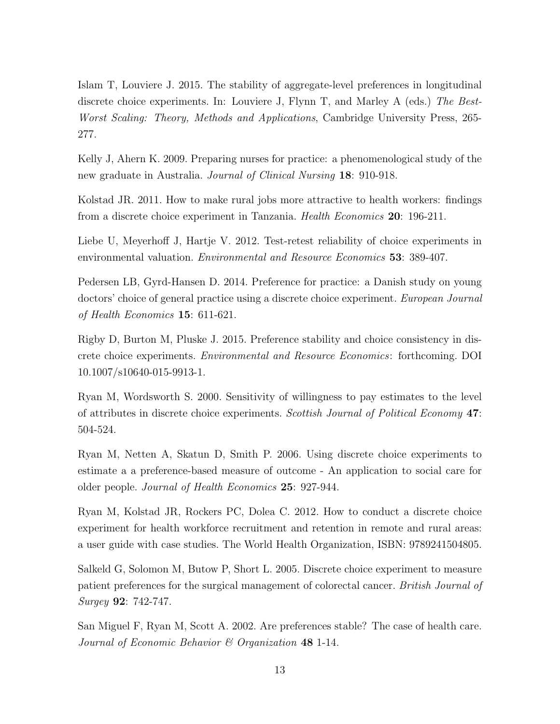Islam T, Louviere J. 2015. The stability of aggregate-level preferences in longitudinal discrete choice experiments. In: Louviere J, Flynn T, and Marley A (eds.) The Best-Worst Scaling: Theory, Methods and Applications, Cambridge University Press, 265- 277.

Kelly J, Ahern K. 2009. Preparing nurses for practice: a phenomenological study of the new graduate in Australia. Journal of Clinical Nursing 18: 910-918.

Kolstad JR. 2011. How to make rural jobs more attractive to health workers: findings from a discrete choice experiment in Tanzania. Health Economics 20: 196-211.

Liebe U, Meyerhoff J, Hartje V. 2012. Test-retest reliability of choice experiments in environmental valuation. Environmental and Resource Economics 53: 389-407.

Pedersen LB, Gyrd-Hansen D. 2014. Preference for practice: a Danish study on young doctors' choice of general practice using a discrete choice experiment. European Journal of Health Economics 15: 611-621.

Rigby D, Burton M, Pluske J. 2015. Preference stability and choice consistency in discrete choice experiments. Environmental and Resource Economics: forthcoming. DOI 10.1007/s10640-015-9913-1.

Ryan M, Wordsworth S. 2000. Sensitivity of willingness to pay estimates to the level of attributes in discrete choice experiments. Scottish Journal of Political Economy 47: 504-524.

Ryan M, Netten A, Skatun D, Smith P. 2006. Using discrete choice experiments to estimate a a preference-based measure of outcome - An application to social care for older people. Journal of Health Economics 25: 927-944.

Ryan M, Kolstad JR, Rockers PC, Dolea C. 2012. How to conduct a discrete choice experiment for health workforce recruitment and retention in remote and rural areas: a user guide with case studies. The World Health Organization, ISBN: 9789241504805.

Salkeld G, Solomon M, Butow P, Short L. 2005. Discrete choice experiment to measure patient preferences for the surgical management of colorectal cancer. British Journal of Surgey 92: 742-747.

San Miguel F, Ryan M, Scott A. 2002. Are preferences stable? The case of health care. Journal of Economic Behavior  $\mathcal C$  Organization 48 1-14.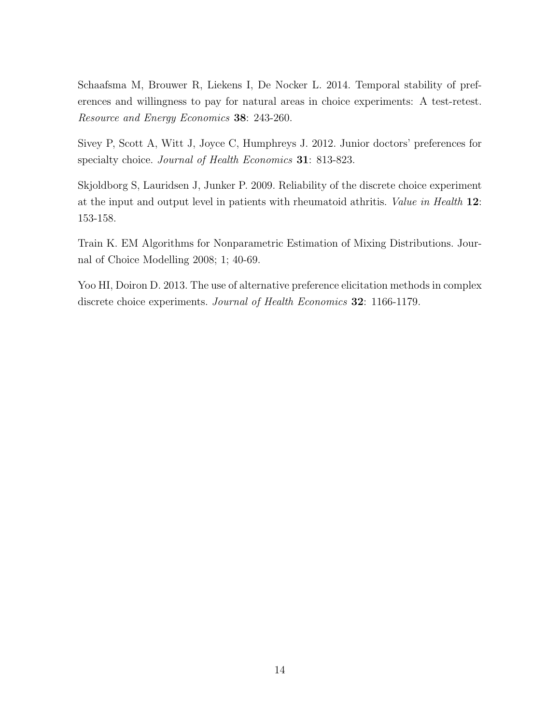Schaafsma M, Brouwer R, Liekens I, De Nocker L. 2014. Temporal stability of preferences and willingness to pay for natural areas in choice experiments: A test-retest. Resource and Energy Economics 38: 243-260.

Sivey P, Scott A, Witt J, Joyce C, Humphreys J. 2012. Junior doctors' preferences for specialty choice. *Journal of Health Economics* **31**: 813-823.

Skjoldborg S, Lauridsen J, Junker P. 2009. Reliability of the discrete choice experiment at the input and output level in patients with rheumatoid athritis. Value in Health 12: 153-158.

Train K. EM Algorithms for Nonparametric Estimation of Mixing Distributions. Journal of Choice Modelling 2008; 1; 40-69.

Yoo HI, Doiron D. 2013. The use of alternative preference elicitation methods in complex discrete choice experiments. Journal of Health Economics 32: 1166-1179.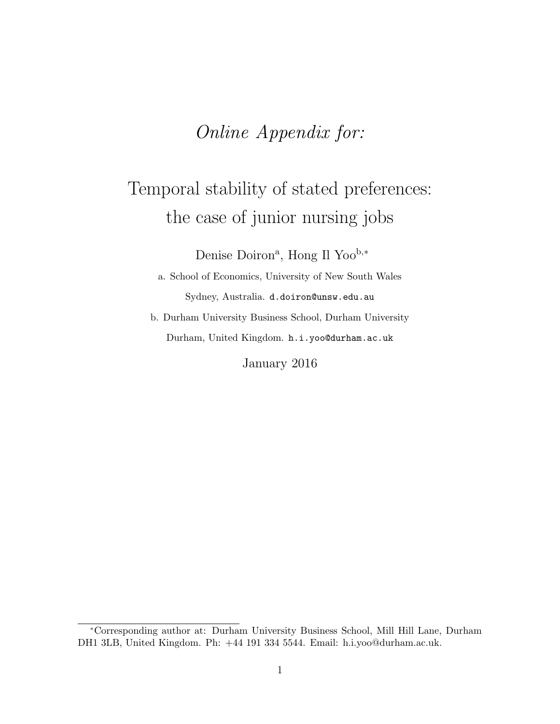## Online Appendix for:

# Temporal stability of stated preferences: the case of junior nursing jobs

Denise Doiron<sup>a</sup>, Hong Il Yoo<sup>b,\*</sup>

a. School of Economics, University of New South Wales Sydney, Australia. d.doiron@unsw.edu.au

b. Durham University Business School, Durham University Durham, United Kingdom. h.i.yoo@durham.ac.uk

January 2016

<sup>∗</sup>Corresponding author at: Durham University Business School, Mill Hill Lane, Durham DH1 3LB, United Kingdom. Ph: +44 191 334 5544. Email: h.i.yoo@durham.ac.uk.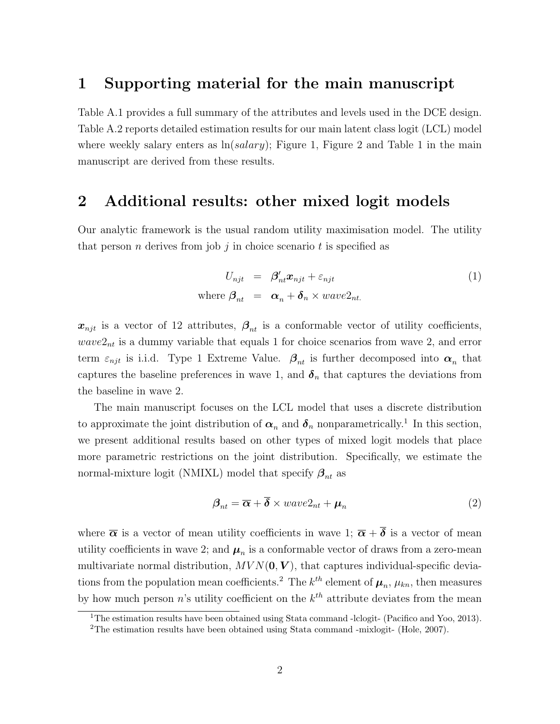### 1 Supporting material for the main manuscript

Table A.1 provides a full summary of the attributes and levels used in the DCE design. Table A.2 reports detailed estimation results for our main latent class logit (LCL) model where weekly salary enters as  $\ln(salary)$ ; Figure 1, Figure 2 and Table 1 in the main manuscript are derived from these results.

## 2 Additional results: other mixed logit models

Our analytic framework is the usual random utility maximisation model. The utility that person *n* derives from job *j* in choice scenario *t* is specified as

$$
U_{njt} = \beta'_{nt} x_{njt} + \varepsilon_{njt}
$$
  
where  $\beta_{nt} = \alpha_n + \delta_n \times wave2_{nt}$ . (1)

 $x_{njt}$  is a vector of 12 attributes,  $\beta_{nt}$  is a conformable vector of utility coefficients,  $wave2<sub>nt</sub>$  is a dummy variable that equals 1 for choice scenarios from wave 2, and error term  $\varepsilon_{njt}$  is i.i.d. Type 1 Extreme Value.  $\beta_{nt}$  is further decomposed into  $\alpha_n$  that captures the baseline preferences in wave 1, and  $\delta_n$  that captures the deviations from the baseline in wave 2.

The main manuscript focuses on the LCL model that uses a discrete distribution to approximate the joint distribution of  $\alpha_n$  and  $\delta_n$  nonparametrically.<sup>1</sup> In this section, we present additional results based on other types of mixed logit models that place more parametric restrictions on the joint distribution. Specifically, we estimate the normal-mixture logit (NMIXL) model that specify  $\beta_{nt}$  as

$$
\boldsymbol{\beta}_{nt} = \overline{\boldsymbol{\alpha}} + \overline{\boldsymbol{\delta}} \times wave2_{nt} + \boldsymbol{\mu}_n \tag{2}
$$

where  $\bar{\alpha}$  is a vector of mean utility coefficients in wave 1;  $\bar{\alpha} + \bar{\delta}$  is a vector of mean utility coefficients in wave 2; and  $\mu_n$  is a conformable vector of draws from a zero-mean multivariate normal distribution,  $MVN(0, V)$ , that captures individual-specific deviations from the population mean coefficients.<sup>2</sup> The  $k^{th}$  element of  $\mu_n$ ,  $\mu_{kn}$ , then measures by how much person *n*'s utility coefficient on the  $k^{th}$  attribute deviates from the mean

<sup>&</sup>lt;sup>1</sup>The estimation results have been obtained using Stata command -lclogit- (Pacifico and Yoo, 2013). <sup>2</sup>The estimation results have been obtained using Stata command -mixlogit- (Hole, 2007).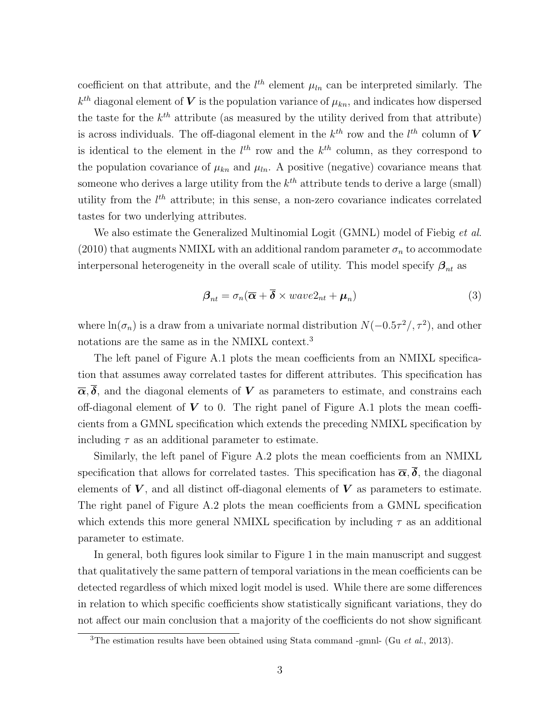coefficient on that attribute, and the  $l^{th}$  element  $\mu_{ln}$  can be interpreted similarly. The  $k^{th}$  diagonal element of V is the population variance of  $\mu_{kn}$ , and indicates how dispersed the taste for the  $k^{th}$  attribute (as measured by the utility derived from that attribute) is across individuals. The off-diagonal element in the  $k^{th}$  row and the  $l^{th}$  column of V is identical to the element in the  $l^{th}$  row and the  $k^{th}$  column, as they correspond to the population covariance of  $\mu_{kn}$  and  $\mu_{ln}$ . A positive (negative) covariance means that someone who derives a large utility from the  $k^{th}$  attribute tends to derive a large (small) utility from the  $l^{th}$  attribute; in this sense, a non-zero covariance indicates correlated tastes for two underlying attributes.

We also estimate the Generalized Multinomial Logit (GMNL) model of Fiebig *et al.* (2010) that augments NMIXL with an additional random parameter  $\sigma_n$  to accommodate interpersonal heterogeneity in the overall scale of utility. This model specify  $\beta_{nt}$  as

$$
\boldsymbol{\beta}_{nt} = \sigma_n(\overline{\boldsymbol{\alpha}} + \overline{\boldsymbol{\delta}} \times wave2_{nt} + \boldsymbol{\mu}_n)
$$
\n(3)

where  $\ln(\sigma_n)$  is a draw from a univariate normal distribution  $N(-0.5\tau^2/\tau^2)$ , and other notations are the same as in the NMIXL context.<sup>3</sup>

The left panel of Figure A.1 plots the mean coefficients from an NMIXL specification that assumes away correlated tastes for different attributes. This specification has  $\overline{\alpha}, \overline{\delta}$ , and the diagonal elements of V as parameters to estimate, and constrains each off-diagonal element of  $V$  to 0. The right panel of Figure A.1 plots the mean coefficients from a GMNL specification which extends the preceding NMIXL specification by including  $\tau$  as an additional parameter to estimate.

Similarly, the left panel of Figure A.2 plots the mean coefficients from an NMIXL specification that allows for correlated tastes. This specification has  $\bar{\alpha}, \bar{\delta}$ , the diagonal elements of  $V$ , and all distinct off-diagonal elements of  $V$  as parameters to estimate. The right panel of Figure A.2 plots the mean coefficients from a GMNL specification which extends this more general NMIXL specification by including  $\tau$  as an additional parameter to estimate.

In general, both figures look similar to Figure 1 in the main manuscript and suggest that qualitatively the same pattern of temporal variations in the mean coefficients can be detected regardless of which mixed logit model is used. While there are some differences in relation to which specific coefficients show statistically significant variations, they do not affect our main conclusion that a majority of the coefficients do not show significant

<sup>&</sup>lt;sup>3</sup>The estimation results have been obtained using Stata command -gmnl- (Gu et al., 2013).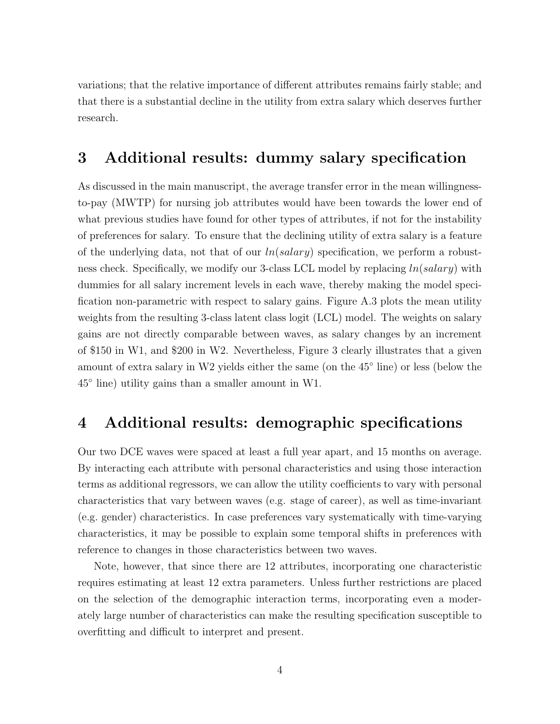variations; that the relative importance of different attributes remains fairly stable; and that there is a substantial decline in the utility from extra salary which deserves further research.

## 3 Additional results: dummy salary specification

As discussed in the main manuscript, the average transfer error in the mean willingnessto-pay (MWTP) for nursing job attributes would have been towards the lower end of what previous studies have found for other types of attributes, if not for the instability of preferences for salary. To ensure that the declining utility of extra salary is a feature of the underlying data, not that of our  $ln(salary)$  specification, we perform a robustness check. Specifically, we modify our 3-class LCL model by replacing  $ln(salary)$  with dummies for all salary increment levels in each wave, thereby making the model specification non-parametric with respect to salary gains. Figure A.3 plots the mean utility weights from the resulting 3-class latent class logit (LCL) model. The weights on salary gains are not directly comparable between waves, as salary changes by an increment of \$150 in W1, and \$200 in W2. Nevertheless, Figure 3 clearly illustrates that a given amount of extra salary in W2 yields either the same (on the 45◦ line) or less (below the 45◦ line) utility gains than a smaller amount in W1.

## 4 Additional results: demographic specifications

Our two DCE waves were spaced at least a full year apart, and 15 months on average. By interacting each attribute with personal characteristics and using those interaction terms as additional regressors, we can allow the utility coefficients to vary with personal characteristics that vary between waves (e.g. stage of career), as well as time-invariant (e.g. gender) characteristics. In case preferences vary systematically with time-varying characteristics, it may be possible to explain some temporal shifts in preferences with reference to changes in those characteristics between two waves.

Note, however, that since there are 12 attributes, incorporating one characteristic requires estimating at least 12 extra parameters. Unless further restrictions are placed on the selection of the demographic interaction terms, incorporating even a moderately large number of characteristics can make the resulting specification susceptible to overfitting and difficult to interpret and present.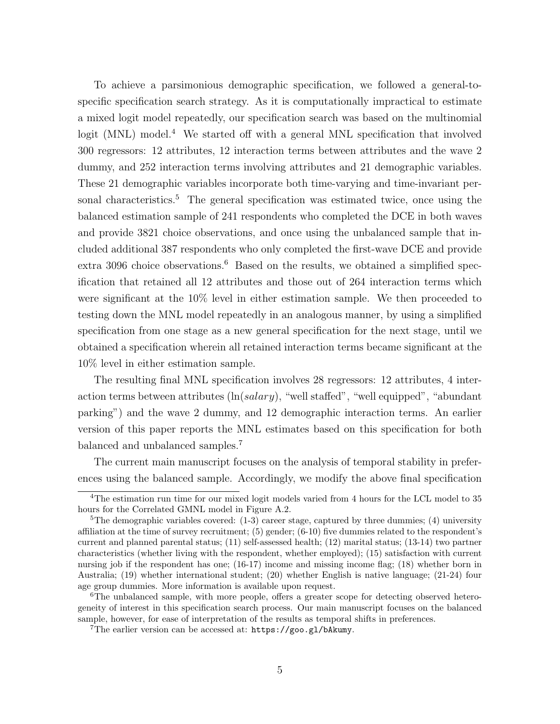To achieve a parsimonious demographic specification, we followed a general-tospecific specification search strategy. As it is computationally impractical to estimate a mixed logit model repeatedly, our specification search was based on the multinomial logit (MNL) model.<sup>4</sup> We started off with a general MNL specification that involved 300 regressors: 12 attributes, 12 interaction terms between attributes and the wave 2 dummy, and 252 interaction terms involving attributes and 21 demographic variables. These 21 demographic variables incorporate both time-varying and time-invariant personal characteristics.<sup>5</sup> The general specification was estimated twice, once using the balanced estimation sample of 241 respondents who completed the DCE in both waves and provide 3821 choice observations, and once using the unbalanced sample that included additional 387 respondents who only completed the first-wave DCE and provide extra 3096 choice observations.<sup>6</sup> Based on the results, we obtained a simplified specification that retained all 12 attributes and those out of 264 interaction terms which were significant at the 10% level in either estimation sample. We then proceeded to testing down the MNL model repeatedly in an analogous manner, by using a simplified specification from one stage as a new general specification for the next stage, until we obtained a specification wherein all retained interaction terms became significant at the 10% level in either estimation sample.

The resulting final MNL specification involves 28 regressors: 12 attributes, 4 interaction terms between attributes  $(\ln(salary))$ , "well staffed", "well equipped", "abundant parking") and the wave 2 dummy, and 12 demographic interaction terms. An earlier version of this paper reports the MNL estimates based on this specification for both balanced and unbalanced samples.<sup>7</sup>

The current main manuscript focuses on the analysis of temporal stability in preferences using the balanced sample. Accordingly, we modify the above final specification

<sup>4</sup>The estimation run time for our mixed logit models varied from 4 hours for the LCL model to 35 hours for the Correlated GMNL model in Figure A.2.

<sup>&</sup>lt;sup>5</sup>The demographic variables covered:  $(1-3)$  career stage, captured by three dummies;  $(4)$  university affiliation at the time of survey recruitment; (5) gender; (6-10) five dummies related to the respondent's current and planned parental status; (11) self-assessed health; (12) marital status; (13-14) two partner characteristics (whether living with the respondent, whether employed); (15) satisfaction with current nursing job if the respondent has one; (16-17) income and missing income flag; (18) whether born in Australia; (19) whether international student; (20) whether English is native language; (21-24) four age group dummies. More information is available upon request.

<sup>&</sup>lt;sup>6</sup>The unbalanced sample, with more people, offers a greater scope for detecting observed heterogeneity of interest in this specification search process. Our main manuscript focuses on the balanced sample, however, for ease of interpretation of the results as temporal shifts in preferences.

<sup>&</sup>lt;sup>7</sup>The earlier version can be accessed at:  $https://good.g1/bAkumy.$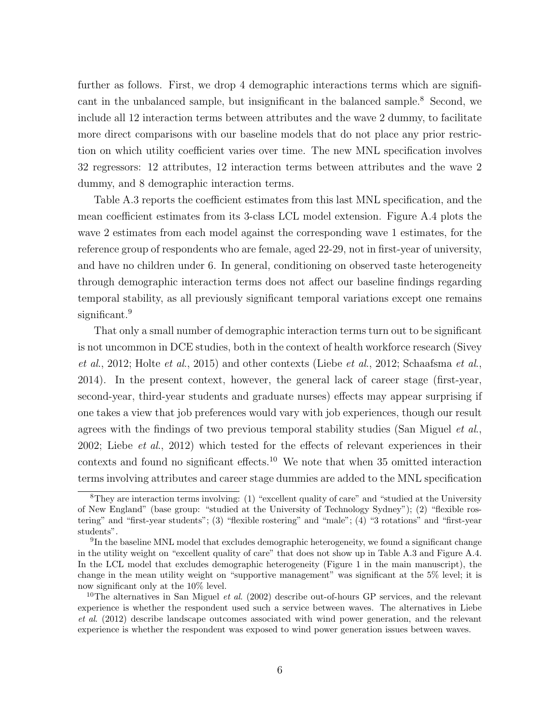further as follows. First, we drop 4 demographic interactions terms which are significant in the unbalanced sample, but insignificant in the balanced sample.<sup>8</sup> Second, we include all 12 interaction terms between attributes and the wave 2 dummy, to facilitate more direct comparisons with our baseline models that do not place any prior restriction on which utility coefficient varies over time. The new MNL specification involves 32 regressors: 12 attributes, 12 interaction terms between attributes and the wave 2 dummy, and 8 demographic interaction terms.

Table A.3 reports the coefficient estimates from this last MNL specification, and the mean coefficient estimates from its 3-class LCL model extension. Figure A.4 plots the wave 2 estimates from each model against the corresponding wave 1 estimates, for the reference group of respondents who are female, aged 22-29, not in first-year of university, and have no children under 6. In general, conditioning on observed taste heterogeneity through demographic interaction terms does not affect our baseline findings regarding temporal stability, as all previously significant temporal variations except one remains significant.<sup>9</sup>

That only a small number of demographic interaction terms turn out to be significant is not uncommon in DCE studies, both in the context of health workforce research (Sivey *et al.*, 2012; Holte *et al.*, 2015) and other contexts (Liebe *et al.*, 2012; Schaafsma *et al.*, 2014). In the present context, however, the general lack of career stage (first-year, second-year, third-year students and graduate nurses) effects may appear surprising if one takes a view that job preferences would vary with job experiences, though our result agrees with the findings of two previous temporal stability studies (San Miguel et al., 2002; Liebe et al., 2012) which tested for the effects of relevant experiences in their contexts and found no significant effects.<sup>10</sup> We note that when 35 omitted interaction terms involving attributes and career stage dummies are added to the MNL specification

<sup>8</sup>They are interaction terms involving: (1) "excellent quality of care" and "studied at the University of New England" (base group: "studied at the University of Technology Sydney"); (2) "flexible rostering" and "first-year students"; (3) "flexible rostering" and "male"; (4) "3 rotations" and "first-year students".

<sup>&</sup>lt;sup>9</sup>In the baseline MNL model that excludes demographic heterogeneity, we found a significant change in the utility weight on "excellent quality of care" that does not show up in Table A.3 and Figure A.4. In the LCL model that excludes demographic heterogeneity (Figure 1 in the main manuscript), the change in the mean utility weight on "supportive management" was significant at the 5% level; it is now significant only at the 10% level.

<sup>&</sup>lt;sup>10</sup>The alternatives in San Miguel *et al.* (2002) describe out-of-hours GP services, and the relevant experience is whether the respondent used such a service between waves. The alternatives in Liebe et al. (2012) describe landscape outcomes associated with wind power generation, and the relevant experience is whether the respondent was exposed to wind power generation issues between waves.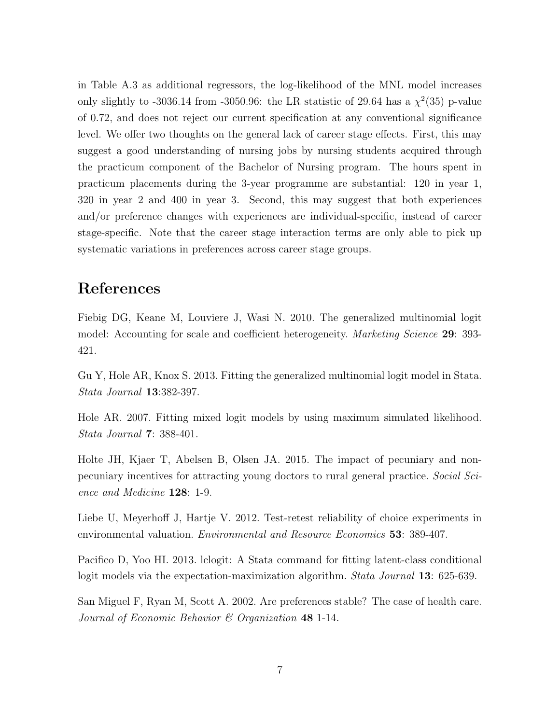in Table A.3 as additional regressors, the log-likelihood of the MNL model increases only slightly to -3036.14 from -3050.96: the LR statistic of 29.64 has a  $\chi^2(35)$  p-value of 0.72, and does not reject our current specification at any conventional significance level. We offer two thoughts on the general lack of career stage effects. First, this may suggest a good understanding of nursing jobs by nursing students acquired through the practicum component of the Bachelor of Nursing program. The hours spent in practicum placements during the 3-year programme are substantial: 120 in year 1, 320 in year 2 and 400 in year 3. Second, this may suggest that both experiences and/or preference changes with experiences are individual-specific, instead of career stage-specific. Note that the career stage interaction terms are only able to pick up systematic variations in preferences across career stage groups.

## References

Fiebig DG, Keane M, Louviere J, Wasi N. 2010. The generalized multinomial logit model: Accounting for scale and coefficient heterogeneity. Marketing Science 29: 393- 421.

Gu Y, Hole AR, Knox S. 2013. Fitting the generalized multinomial logit model in Stata. Stata Journal 13:382-397.

Hole AR. 2007. Fitting mixed logit models by using maximum simulated likelihood. Stata Journal 7: 388-401.

Holte JH, Kjaer T, Abelsen B, Olsen JA. 2015. The impact of pecuniary and nonpecuniary incentives for attracting young doctors to rural general practice. Social Science and Medicine 128: 1-9.

Liebe U, Meyerhoff J, Hartje V. 2012. Test-retest reliability of choice experiments in environmental valuation. Environmental and Resource Economics 53: 389-407.

Pacifico D, Yoo HI. 2013. lclogit: A Stata command for fitting latent-class conditional logit models via the expectation-maximization algorithm. Stata Journal 13: 625-639.

San Miguel F, Ryan M, Scott A. 2002. Are preferences stable? The case of health care. Journal of Economic Behavior  $\mathcal C$  Organization 48 1-14.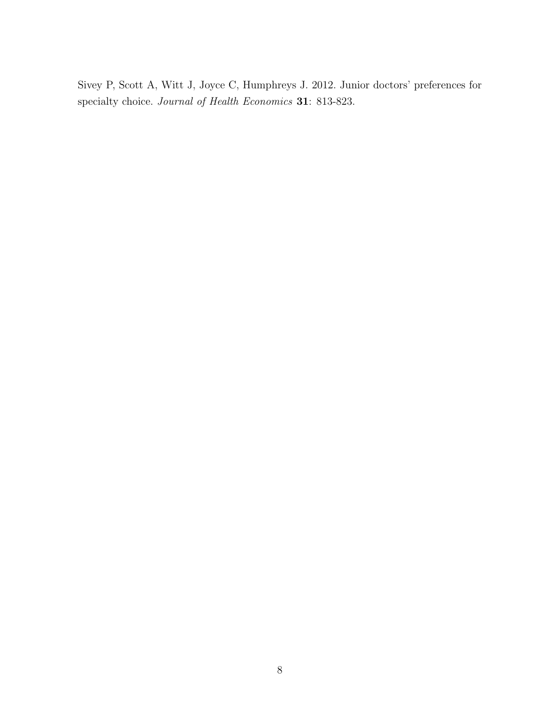Sivey P, Scott A, Witt J, Joyce C, Humphreys J. 2012. Junior doctors' preferences for specialty choice. Journal of Health Economics 31: 813-823.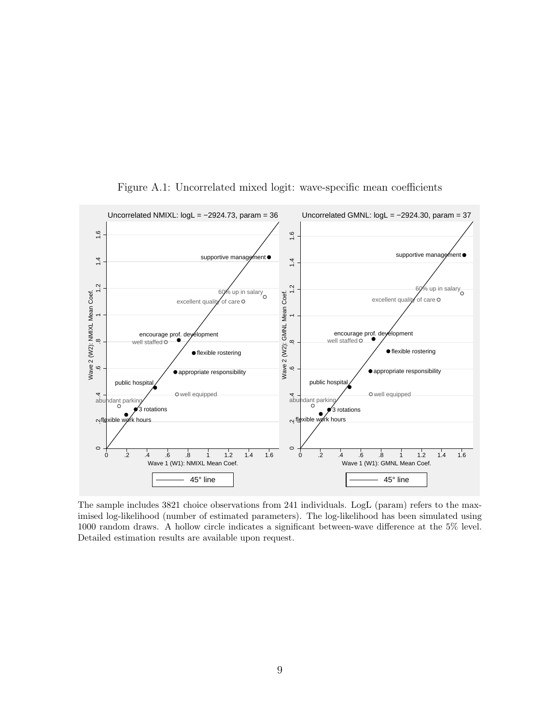

Figure A.1: Uncorrelated mixed logit: wave-specific mean coefficients

The sample includes 3821 choice observations from 241 individuals. LogL (param) refers to the maximised log-likelihood (number of estimated parameters). The log-likelihood has been simulated using 1000 random draws. A hollow circle indicates a significant between-wave difference at the 5% level. Detailed estimation results are available upon request.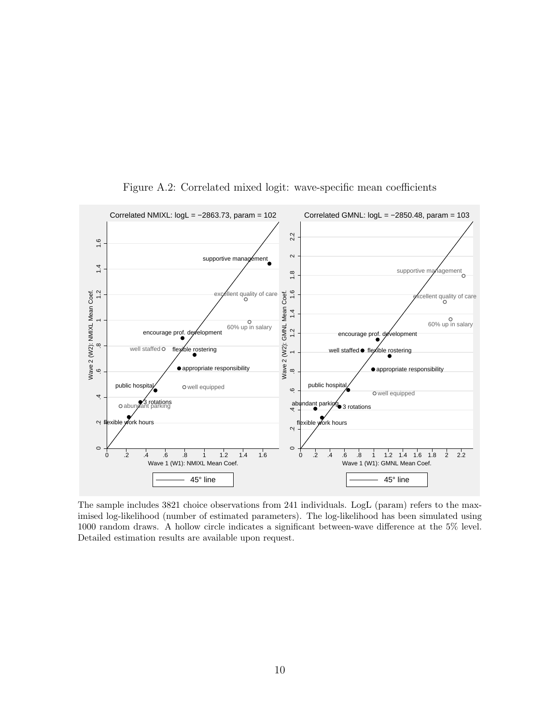

Figure A.2: Correlated mixed logit: wave-specific mean coefficients

The sample includes 3821 choice observations from 241 individuals. LogL (param) refers to the maximised log-likelihood (number of estimated parameters). The log-likelihood has been simulated using 1000 random draws. A hollow circle indicates a significant between-wave difference at the 5% level. Detailed estimation results are available upon request.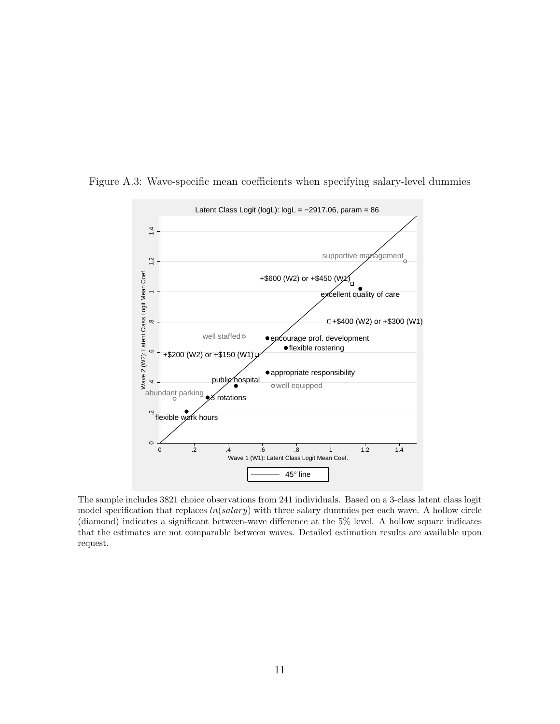

Figure A.3: Wave-specific mean coefficients when specifying salary-level dummies

The sample includes 3821 choice observations from 241 individuals. Based on a 3-class latent class logit model specification that replaces  $ln(salary)$  with three salary dummies per each wave. A hollow circle (diamond) indicates a significant between-wave difference at the 5% level. A hollow square indicates that the estimates are not comparable between waves. Detailed estimation results are available upon request.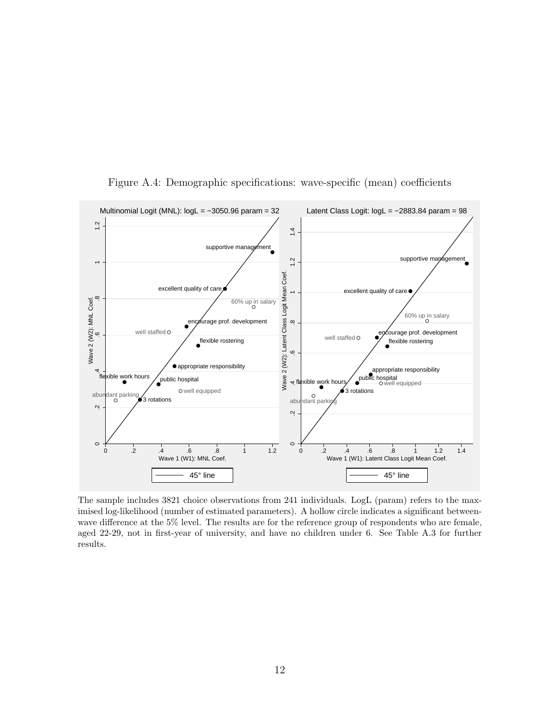

Figure A.4: Demographic specifications: wave-specific (mean) coefficients

The sample includes 3821 choice observations from 241 individuals. LogL (param) refers to the maximised log-likelihood (number of estimated parameters). A hollow circle indicates a significant betweenwave difference at the 5% level. The results are for the reference group of respondents who are female, aged 22-29, not in first-year of university, and have no children under 6. See Table A.3 for further results.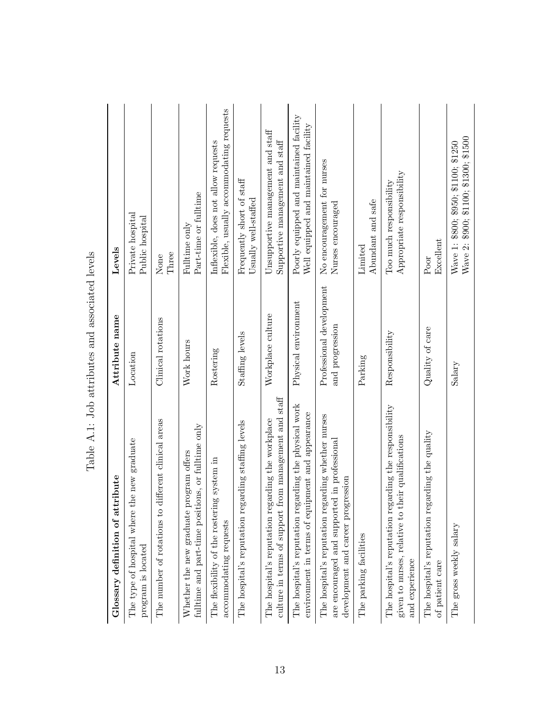| Glossary definition of attribute                                                                                                         | Attribute name                              | Levels                                                                           |
|------------------------------------------------------------------------------------------------------------------------------------------|---------------------------------------------|----------------------------------------------------------------------------------|
| the new graduate<br>The type of hospital where<br>program is located                                                                     | Location                                    | Private hospital<br>Public hospital                                              |
| The number of rotations to different clinical areas                                                                                      | Clinical rotations                          | Three<br>None                                                                    |
| fulltime and part-time positions, or fulltime only<br>program offers<br>Whether the new graduate                                         | Work hours                                  | Part-time or fulltime<br>Fulltime only                                           |
| The flexibility of the rostering system in<br>accommodating requests                                                                     | Rostering                                   | Flexible, usually accommodating requests<br>Inflexible, does not allow requests  |
| The hospital's reputation regarding staffing levels                                                                                      | Staffing levels                             | Frequently short of staff<br>Usually well-staffed                                |
| culture in terms of support from management and staff<br>The hospital's reputation regarding the workplace                               | Workplace culture                           | Unsupportive management and staff<br>Supportive management and staff             |
| The hospital's reputation regarding the physical work<br>environment in terms of equipment and appearance                                | Physical environment                        | Poorly equipped and maintained facility<br>Well equipped and maintained facility |
| The hospital's reputation regarding whether nurses<br>are encouraged and supported in professional<br>development and career progression | Professional development<br>and progression | No encouragement for nurses<br>Nurses encouraged                                 |
| The parking facilities                                                                                                                   | Parking                                     | Abundant and safe<br>Limited                                                     |
| The hospital's reputation regarding the responsibility<br>their qualifications<br>given to nurses, relative to<br>and experience         | Responsibility                              | Appropriate responsibility<br>Too much responsibility                            |
| The hospital's reputation regarding the quality<br>of patient care                                                                       | Quality of care                             | Excellent<br>Poor                                                                |
| The gross weekly salary                                                                                                                  | Salary                                      | Wave 2: \$900; \$100; \$1300; \$1500<br>Wave 1: \$800; \$950; \$1100; \$1250     |

| ļ<br>Ì<br>I<br>j<br>Ì<br>I<br>ı                                    |
|--------------------------------------------------------------------|
| l<br>֧֦֦֦֚֝֝֟֝֟֝֟֝֟֝֟֝֝֝֟֟֝֟֝֟֟֝֬֝<br>l<br>j<br>くくて<br>١<br>1<br>I |
| Ï<br>くく<br>ı<br>ı                                                  |
| í<br>I<br>ľ<br>j<br>ļ<br>I                                         |
| Ś<br>≀<br>I                                                        |
| ı<br>٦<br>ı                                                        |
| I                                                                  |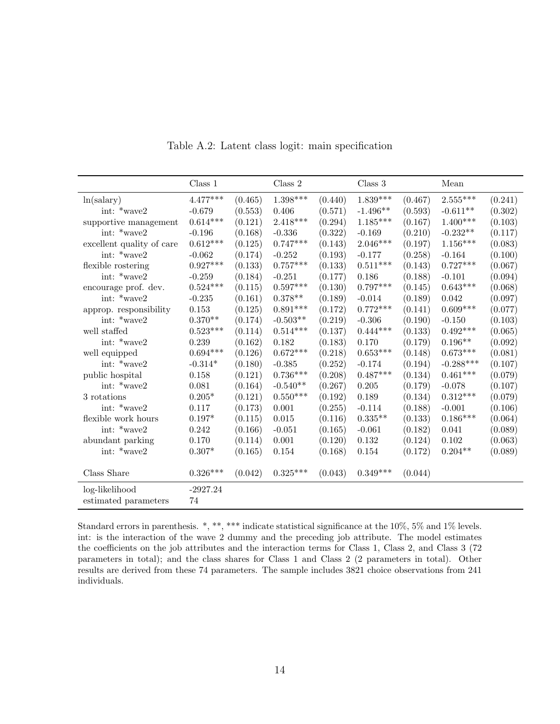|                           | Class 1    |         | Class 2    |         | Class 3    |         | Mean                                     |         |
|---------------------------|------------|---------|------------|---------|------------|---------|------------------------------------------|---------|
| ln(salary)                | $4.477***$ | (0.465) | $1.398***$ | (0.440) | $1.839***$ | (0.467) | $2.555***$                               | (0.241) |
| int: *wave2               | $-0.679$   | (0.553) | 0.406      | (0.571) | $-1.496**$ | (0.593) | $-0.611**$                               | (0.302) |
| supportive management     | $0.614***$ | (0.121) | $2.418***$ | (0.294) | $1.185***$ | (0.167) | $1.400***$                               | (0.103) |
| int: *wave2               | $-0.196$   | (0.168) | $-0.336$   | (0.322) | $-0.169$   | (0.210) | $\textbf{-0.232}^{\textbf{\texttt{**}}}$ | (0.117) |
| excellent quality of care | $0.612***$ | (0.125) | $0.747***$ | (0.143) | $2.046***$ | (0.197) | $1.156***$                               | (0.083) |
| int: *wave2               | $-0.062$   | (0.174) | $-0.252$   | (0.193) | $-0.177$   | (0.258) | $-0.164$                                 | (0.100) |
| flexible rostering        | $0.927***$ | (0.133) | $0.757***$ | (0.133) | $0.511***$ | (0.143) | $0.727***$                               | (0.067) |
| int: *wave2               | $-0.259$   | (0.184) | $-0.251$   | (0.177) | 0.186      | (0.188) | $-0.101$                                 | (0.094) |
| encourage prof. dev.      | $0.524***$ | (0.115) | $0.597***$ | (0.130) | $0.797***$ | (0.145) | $0.643***$                               | (0.068) |
| int: $*_{\text{wave2}}$   | $-0.235$   | (0.161) | $0.378**$  | (0.189) | $-0.014$   | (0.189) | 0.042                                    | (0.097) |
| approp. responsibility    | 0.153      | (0.125) | $0.891***$ | (0.172) | $0.772***$ | (0.141) | $0.609***$                               | (0.077) |
| int: *wave2               | $0.370**$  | (0.174) | $-0.503**$ | (0.219) | $-0.306$   | (0.190) | $-0.150$                                 | (0.103) |
| well staffed              | $0.523***$ | (0.114) | $0.514***$ | (0.137) | $0.444***$ | (0.133) | $0.492***$                               | (0.065) |
| int: $*_{\text{wave2}}$   | 0.239      | (0.162) | 0.182      | (0.183) | 0.170      | (0.179) | $0.196**$                                | (0.092) |
| well equipped             | $0.694***$ | (0.126) | $0.672***$ | (0.218) | $0.653***$ | (0.148) | $0.673***$                               | (0.081) |
| int: $*_{\text{wave2}}$   | $-0.314*$  | (0.180) | $-0.385$   | (0.252) | $-0.174$   | (0.194) | $-0.288***$                              | (0.107) |
| public hospital           | 0.158      | (0.121) | $0.736***$ | (0.208) | $0.487***$ | (0.134) | $0.461***$                               | (0.079) |
| int: *wave2               | 0.081      | (0.164) | $-0.540**$ | (0.267) | 0.205      | (0.179) | $-0.078$                                 | (0.107) |
| $3$ rotations $\,$        | $0.205*$   | (0.121) | $0.550***$ | (0.192) | 0.189      | (0.134) | $0.312***$                               | (0.079) |
| int: $*_{\text{wave2}}$   | 0.117      | (0.173) | 0.001      | (0.255) | $-0.114$   | (0.188) | $-0.001$                                 | (0.106) |
| flexible work hours       | $0.197*$   | (0.115) | $0.015\,$  | (0.116) | $0.335**$  | (0.133) | $0.186***$                               | (0.064) |
| int: *wave2               | 0.242      | (0.166) | $-0.051$   | (0.165) | $-0.061$   | (0.182) | 0.041                                    | (0.089) |
| abundant parking          | 0.170      | (0.114) | 0.001      | (0.120) | 0.132      | (0.124) | 0.102                                    | (0.063) |
| int: *wave2               | $0.307*$   | (0.165) | 0.154      | (0.168) | 0.154      | (0.172) | $0.204**$                                | (0.089) |
|                           |            |         |            |         |            |         |                                          |         |
| Class Share               | $0.326***$ | (0.042) | $0.325***$ | (0.043) | $0.349***$ | (0.044) |                                          |         |
| log-likelihood            | $-2927.24$ |         |            |         |            |         |                                          |         |
| estimated parameters      | 74         |         |            |         |            |         |                                          |         |

Table A.2: Latent class logit: main specification

Standard errors in parenthesis. \*, \*\*, \*\*\* indicate statistical significance at the 10%, 5% and 1% levels. int: is the interaction of the wave 2 dummy and the preceding job attribute. The model estimates the coefficients on the job attributes and the interaction terms for Class 1, Class 2, and Class 3 (72 parameters in total); and the class shares for Class 1 and Class 2 (2 parameters in total). Other results are derived from these 74 parameters. The sample includes 3821 choice observations from 241 individuals.